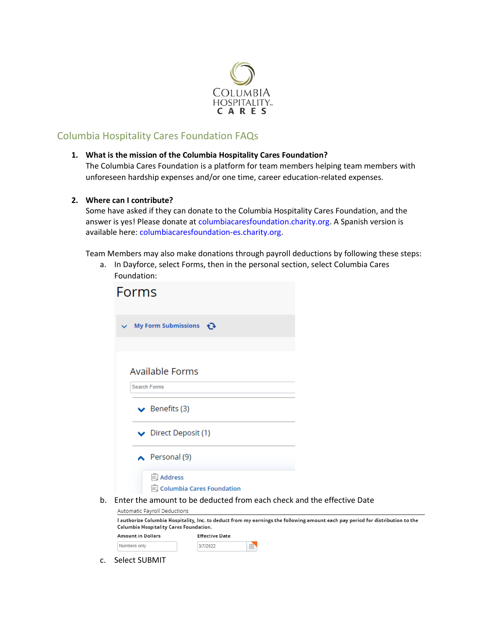

# Columbia Hospitality Cares Foundation FAQs

## **1. What is the mission of the Columbia Hospitality Cares Foundation?**

The Columbia Cares Foundation is a platform for team members helping team members with unforeseen hardship expenses and/or one time, career education-related expenses.

## **2. Where can I contribute?**

Some have asked if they can donate to the Columbia Hospitality Cares Foundation, and the answer is yes! Please donate at columbiacaresfoundation.charity.org. A Spanish version is available here: columbiacaresfoundation-es.charity.org.

Team Members may also make donations through payroll deductions by following these steps:

a. In Dayforce, select Forms, then in the personal section, select Columbia Cares Foundation:

|    | Forms                                                                                                  |                                    |   |  |                                                                                                                                |  |
|----|--------------------------------------------------------------------------------------------------------|------------------------------------|---|--|--------------------------------------------------------------------------------------------------------------------------------|--|
|    | My Form Submissions $\bigodot$<br>$\checkmark$                                                         |                                    |   |  |                                                                                                                                |  |
|    | <b>Available Forms</b>                                                                                 |                                    |   |  |                                                                                                                                |  |
|    | <b>Search Forms</b><br>$\blacktriangleright$ Benefits (3)                                              |                                    |   |  |                                                                                                                                |  |
|    | Direct Deposit (1)                                                                                     |                                    |   |  |                                                                                                                                |  |
|    | Personal $(9)$                                                                                         |                                    |   |  |                                                                                                                                |  |
|    | <b>Address</b>                                                                                         | <b>B</b> Columbia Cares Foundation |   |  |                                                                                                                                |  |
| b. | Enter the amount to be deducted from each check and the effective Date<br>Automatic Payroll Deductions |                                    |   |  |                                                                                                                                |  |
|    | Columbia Hospitality Cares Foundation.                                                                 |                                    |   |  | I authorize Columbia Hospitality, Inc. to deduct from my earnings the following amount each pay period for distribution to the |  |
|    | <b>Amount in Dollars</b>                                                                               | <b>Effective Date</b>              |   |  |                                                                                                                                |  |
|    | Numbers only                                                                                           | 3/7/2022                           | 曲 |  |                                                                                                                                |  |

c. Select SUBMIT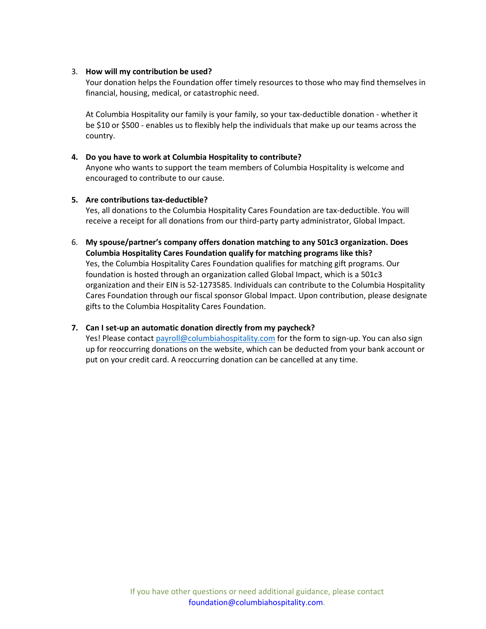## 3. **How will my contribution be used?**

Your donation helps the Foundation offer timely resources to those who may find themselves in financial, housing, medical, or catastrophic need.

At Columbia Hospitality our family is your family, so your tax-deductible donation - whether it be \$10 or \$500 - enables us to flexibly help the individuals that make up our teams across the country.

## **4. Do you have to work at Columbia Hospitality to contribute?**

Anyone who wants to support the team members of Columbia Hospitality is welcome and encouraged to contribute to our cause.

## **5. Are contributions tax-deductible?**

Yes, all donations to the Columbia Hospitality Cares Foundation are tax-deductible. You will receive a receipt for all donations from our third-party party administrator, Global Impact.

## 6. **My spouse/partner's company offers donation matching to any 501c3 organization. Does Columbia Hospitality Cares Foundation qualify for matching programs like this?** Yes, the Columbia Hospitality Cares Foundation qualifies for matching gift programs. Our foundation is hosted through an organization called Global Impact, which is a 501c3 organization and their EIN is 52-1273585. Individuals can contribute to the Columbia Hospitality Cares Foundation through our fiscal sponsor Global Impact. Upon contribution, please designate gifts to the Columbia Hospitality Cares Foundation.

## **7. Can I set-up an automatic donation directly from my paycheck?**

Yes! Please contact [payroll@columbiahospitality.com](mailto:payroll@columbiahospitality.com) for the form to sign-up. You can also sign up for reoccurring donations on the website, which can be deducted from your bank account or put on your credit card. A reoccurring donation can be cancelled at any time.